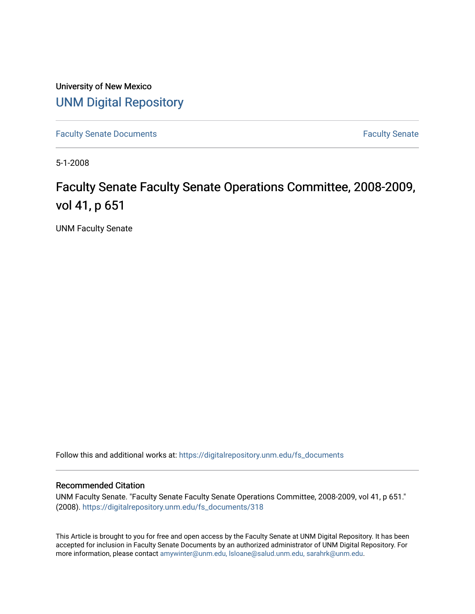University of New Mexico [UNM Digital Repository](https://digitalrepository.unm.edu/) 

[Faculty Senate Documents](https://digitalrepository.unm.edu/fs_documents) **Faculty** Senate **Faculty** Senate

5-1-2008

## Faculty Senate Faculty Senate Operations Committee, 2008-2009, vol 41, p 651

UNM Faculty Senate

Follow this and additional works at: [https://digitalrepository.unm.edu/fs\\_documents](https://digitalrepository.unm.edu/fs_documents?utm_source=digitalrepository.unm.edu%2Ffs_documents%2F318&utm_medium=PDF&utm_campaign=PDFCoverPages)

## Recommended Citation

UNM Faculty Senate. "Faculty Senate Faculty Senate Operations Committee, 2008-2009, vol 41, p 651." (2008). [https://digitalrepository.unm.edu/fs\\_documents/318](https://digitalrepository.unm.edu/fs_documents/318?utm_source=digitalrepository.unm.edu%2Ffs_documents%2F318&utm_medium=PDF&utm_campaign=PDFCoverPages) 

This Article is brought to you for free and open access by the Faculty Senate at UNM Digital Repository. It has been accepted for inclusion in Faculty Senate Documents by an authorized administrator of UNM Digital Repository. For more information, please contact [amywinter@unm.edu, lsloane@salud.unm.edu, sarahrk@unm.edu](mailto:amywinter@unm.edu,%20lsloane@salud.unm.edu,%20sarahrk@unm.edu).